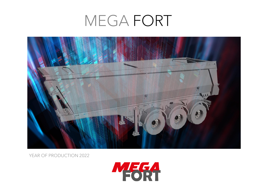

YEAR OF PRODUCTION 2022

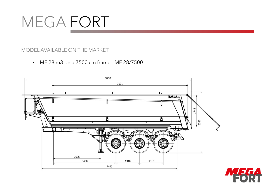#### MODEL AVAILABLE ON THE MARKET:

• MF 28 m3 on a 7500 cm frame - MF 28/7500



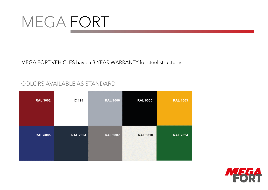MEGA FORT VEHICLES have a 3-YEAR WARRANTY for steel structures.

#### COLORS AVAILABLE AS STANDARD

| <b>RAL 3002</b> | IC 194          | <b>RAL 9006</b> | <b>RAL 9005</b> | <b>RAL 1003</b> |
|-----------------|-----------------|-----------------|-----------------|-----------------|
| <b>RAL 5005</b> | <b>RAL 7024</b> | <b>RAL 9007</b> | <b>RAL 9010</b> | <b>RAL 7024</b> |

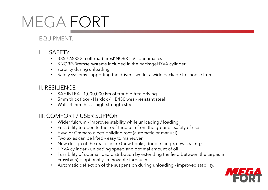### EQUIPMENT:

- I. SAFETY:
	- 385 / 65R22.5 off-road tiresKNORR ILVL pneumatics
	- KNORR-Bremse systems included in the packageHYVA cylinder
	- stability during unloading
	- Safety systems supporting the driver's work a wide package to choose from

#### II. RESILIENCE

- SAF INTRA 1,000,000 km of trouble-free driving
- 5mm thick floor Hardox / HB450 wear-resistant steel
- Walls 4 mm thick high-strength steel

#### III. COMFORT / USER SUPPORT

- Wider fulcrum improves stability while unloading / loading
- Possibility to operate the roof tarpaulin from the ground safety of use
- Hyva or Cramaro electric sliding roof (automatic or manual)
- Two axles can be lifted easy to maneuver
- New design of the rear closure (new hooks, double hinge, new sealing)
- HYVA cylinder unloading speed and optimal amount of oil
- Possibility of optimal load distribution by extending the field between the tarpaulin crossbars) + optionally, a movable tarpaulin
- Automatic deflection of the suspension during unloading improved stability.

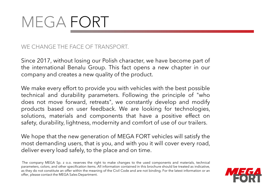WE CHANGE THE FACE OF TRANSPORT.

Since 2017, without losing our Polish character, we have become part of the international Benalu Group. This fact opens a new chapter in our company and creates a new quality of the product.

We make every effort to provide you with vehicles with the best possible technical and durability parameters. Following the principle of "who does not move forward, retreats", we constantly develop and modify products based on user feedback. We are looking for technologies, solutions, materials and components that have a positive effect on safety, durability, lightness, modernity and comfort of use of our trailers.

We hope that the new generation of MEGA FORT vehicles will satisfy the most demanding users, that is you, and with you it will cover every road, deliver every load safely, to the place and on time.

The company MEGA Sp. z o.o. reserves the right to make changes to the used components and materials, technical parameters, colors, and other specification items. All information contained in this brochure should be treated as indicative, as they do not constitute an offer within the meaning of the Civil Code and are not binding. For the latest information or an offer, please contact the MEGA Sales Department.